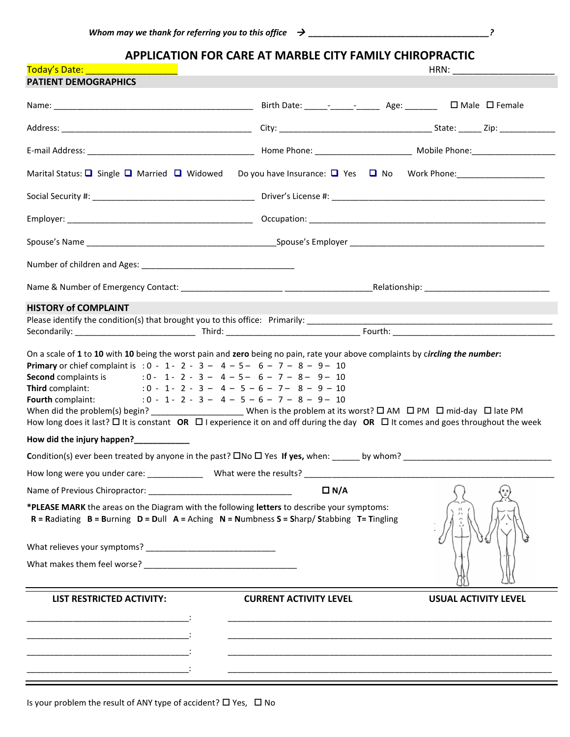**APPLICATION FOR CARE AT MARBLE CITY FAMILY CHIROPRACTIC**

| Today's Date: National Contract of Today's Date:<br><b>PATIENT DEMOGRAPHICS</b>                                                                                                                                                                                                                                                                                                                                                                                                                                                                                                                                                                 |                                                                                                                       |                             |
|-------------------------------------------------------------------------------------------------------------------------------------------------------------------------------------------------------------------------------------------------------------------------------------------------------------------------------------------------------------------------------------------------------------------------------------------------------------------------------------------------------------------------------------------------------------------------------------------------------------------------------------------------|-----------------------------------------------------------------------------------------------------------------------|-----------------------------|
|                                                                                                                                                                                                                                                                                                                                                                                                                                                                                                                                                                                                                                                 |                                                                                                                       |                             |
|                                                                                                                                                                                                                                                                                                                                                                                                                                                                                                                                                                                                                                                 |                                                                                                                       |                             |
|                                                                                                                                                                                                                                                                                                                                                                                                                                                                                                                                                                                                                                                 |                                                                                                                       |                             |
| Marital Status: Q Single Q Married Q Widowed Do you have Insurance: Q Yes Q No Work Phone: 1980 More 2010                                                                                                                                                                                                                                                                                                                                                                                                                                                                                                                                       |                                                                                                                       |                             |
|                                                                                                                                                                                                                                                                                                                                                                                                                                                                                                                                                                                                                                                 |                                                                                                                       |                             |
|                                                                                                                                                                                                                                                                                                                                                                                                                                                                                                                                                                                                                                                 |                                                                                                                       |                             |
|                                                                                                                                                                                                                                                                                                                                                                                                                                                                                                                                                                                                                                                 |                                                                                                                       |                             |
|                                                                                                                                                                                                                                                                                                                                                                                                                                                                                                                                                                                                                                                 |                                                                                                                       |                             |
|                                                                                                                                                                                                                                                                                                                                                                                                                                                                                                                                                                                                                                                 |                                                                                                                       |                             |
| On a scale of 1 to 10 with 10 being the worst pain and zero being no pain, rate your above complaints by circling the number:<br><b>Primary</b> or chief complaint is : $0 - 1 - 2 - 3 - 4 - 5 - 6 - 7 - 8 - 9 - 10$<br><b>Second</b> complaints is $0 - 1 - 2 - 3 - 4 - 5 - 6 - 7 - 8 - 9 - 10$<br><b>Third</b> complaint: $0 - 1 - 2 - 3 - 4 - 5 - 6 - 7 - 8 - 9 - 10$<br><b>Fourth</b> complaint: : 0 - 1 - 2 - 3 - 4 - 5 - 6 - 7 - 8 - 9 - 10<br>How long does it last? $\Box$ It is constant OR $\Box$ I experience it on and off during the day OR $\Box$ It comes and goes throughout the week<br>How did the injury happen?____________ |                                                                                                                       |                             |
|                                                                                                                                                                                                                                                                                                                                                                                                                                                                                                                                                                                                                                                 |                                                                                                                       |                             |
| *PLEASE MARK the areas on the Diagram with the following letters to describe your symptoms:<br>$R =$ Radiating $B =$ Burning $D =$ Dull $A =$ Aching $N =$ Numbness $S =$ Sharp/Stabbing T= Tingling                                                                                                                                                                                                                                                                                                                                                                                                                                            | $\Box N/A$                                                                                                            |                             |
|                                                                                                                                                                                                                                                                                                                                                                                                                                                                                                                                                                                                                                                 |                                                                                                                       |                             |
|                                                                                                                                                                                                                                                                                                                                                                                                                                                                                                                                                                                                                                                 |                                                                                                                       |                             |
| <b>LIST RESTRICTED ACTIVITY:</b>                                                                                                                                                                                                                                                                                                                                                                                                                                                                                                                                                                                                                | <b>CURRENT ACTIVITY LEVEL</b>                                                                                         | <b>USUAL ACTIVITY LEVEL</b> |
|                                                                                                                                                                                                                                                                                                                                                                                                                                                                                                                                                                                                                                                 |                                                                                                                       |                             |
|                                                                                                                                                                                                                                                                                                                                                                                                                                                                                                                                                                                                                                                 | <u> 1989 - Johann Harry Harry Harry Harry Harry Harry Harry Harry Harry Harry Harry Harry Harry Harry Harry Harry</u> |                             |

Is your problem the result of ANY type of accident?  $\Box$  Yes,  $\Box$  No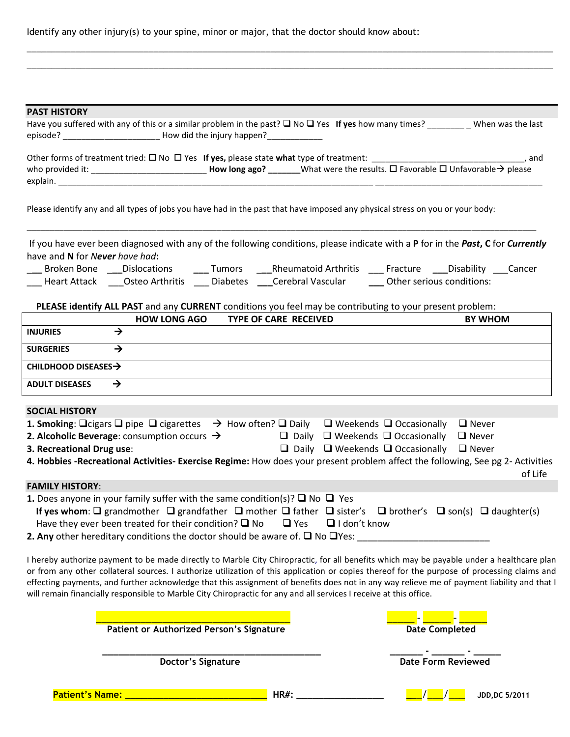Identify any other injury(s) to your spine, minor or major, that the doctor should know about:

| <b>PAST HISTORY</b>                                                                                                                                                                                                                                                                       |
|-------------------------------------------------------------------------------------------------------------------------------------------------------------------------------------------------------------------------------------------------------------------------------------------|
| Have you suffered with any of this or a similar problem in the past? $\Box$ No $\Box$ Yes If yes how many times? __________ When was the last<br>episode? ________________________________ How did the injury happen?____________                                                         |
|                                                                                                                                                                                                                                                                                           |
|                                                                                                                                                                                                                                                                                           |
|                                                                                                                                                                                                                                                                                           |
| Please identify any and all types of jobs you have had in the past that have imposed any physical stress on you or your body:                                                                                                                                                             |
| If you have ever been diagnosed with any of the following conditions, please indicate with a P for in the Past, C for Currently<br>have and N for Never have had:                                                                                                                         |
| Broken Bone ___ Dislocations ______ Tumors _____ Rheumatoid Arthritis _____ Fracture _____Disability ____ Cancer                                                                                                                                                                          |
| ___ Heart Attack ____Osteo Arthritis ____ Diabetes ____Cerebral Vascular ______ Other serious conditions:                                                                                                                                                                                 |
| PLEASE identify ALL PAST and any CURRENT conditions you feel may be contributing to your present problem:                                                                                                                                                                                 |
| <b>HOW LONG AGO</b><br><b>TYPE OF CARE RECEIVED</b><br><b>BY WHOM</b>                                                                                                                                                                                                                     |
| $\rightarrow$<br><b>INJURIES</b>                                                                                                                                                                                                                                                          |
| $\rightarrow$<br><b>SURGERIES</b>                                                                                                                                                                                                                                                         |
| CHILDHOOD DISEASES $\rightarrow$                                                                                                                                                                                                                                                          |
| <b>ADULT DISEASES</b><br>$\rightarrow$                                                                                                                                                                                                                                                    |
| <b>SOCIAL HISTORY</b>                                                                                                                                                                                                                                                                     |
| <b>1. Smoking:</b> $\Box$ cigars $\Box$ pipe $\Box$ cigarettes $\rightarrow$ How often? $\Box$ Daily $\Box$ Weekends $\Box$ Occasionally<br>$\Box$ Never                                                                                                                                  |
| <b>2. Alcoholic Beverage:</b> consumption occurs $\rightarrow$ $\Box$ Daily $\Box$ Weekends $\Box$ Occasionally<br>$\Box$ Never                                                                                                                                                           |
| 3. Recreational Drug use:<br>$\Box$ Daily $\Box$ Weekends $\Box$ Occasionally $\Box$ Never                                                                                                                                                                                                |
| 4. Hobbies -Recreational Activities- Exercise Regime: How does your present problem affect the following, See pg 2- Activities<br>of Life                                                                                                                                                 |
| <b>FAMILY HISTORY:</b>                                                                                                                                                                                                                                                                    |
| <b>1.</b> Does anyone in your family suffer with the same condition(s)? $\Box$ No $\Box$ Yes                                                                                                                                                                                              |
| If yes whom: $\Box$ grandmother $\Box$ grandfather $\Box$ mother $\Box$ father $\Box$ sister's $\Box$ brother's $\Box$ son(s) $\Box$ daughter(s)                                                                                                                                          |
| Have they ever been treated for their condition? $\square$ No<br>$\Box$ Yes<br>$\Box$ I don't know<br>2. Any other hereditary conditions the doctor should be aware of. $\square$ No $\square$ Yes:                                                                                       |
|                                                                                                                                                                                                                                                                                           |
| I hereby authorize payment to be made directly to Marble City Chiropractic, for all benefits which may be payable under a healthcare plan<br>or from any other collateral sources. I authorize utilization of this application or copies thereof for the purpose of processing claims and |
| effecting payments, and further acknowledge that this assignment of benefits does not in any way relieve me of payment liability and that I                                                                                                                                               |
| will remain financially responsible to Marble City Chiropractic for any and all services I receive at this office.                                                                                                                                                                        |
|                                                                                                                                                                                                                                                                                           |
| <b>Patient or Authorized Person's Signature</b><br><b>Date Completed</b>                                                                                                                                                                                                                  |
| <b>Date Form Reviewed</b><br>Doctor's Signature                                                                                                                                                                                                                                           |
|                                                                                                                                                                                                                                                                                           |

\_\_\_\_\_\_\_\_\_\_\_\_\_\_\_\_\_\_\_\_\_\_\_\_\_\_\_\_\_\_\_\_\_\_\_\_\_\_\_\_\_\_\_\_\_\_\_\_\_\_\_\_\_\_\_\_\_\_\_\_\_\_\_\_\_\_\_\_\_\_\_\_\_\_\_\_\_\_\_\_\_\_\_\_\_\_\_\_\_\_\_\_\_\_\_\_\_\_\_\_\_\_\_\_\_\_\_\_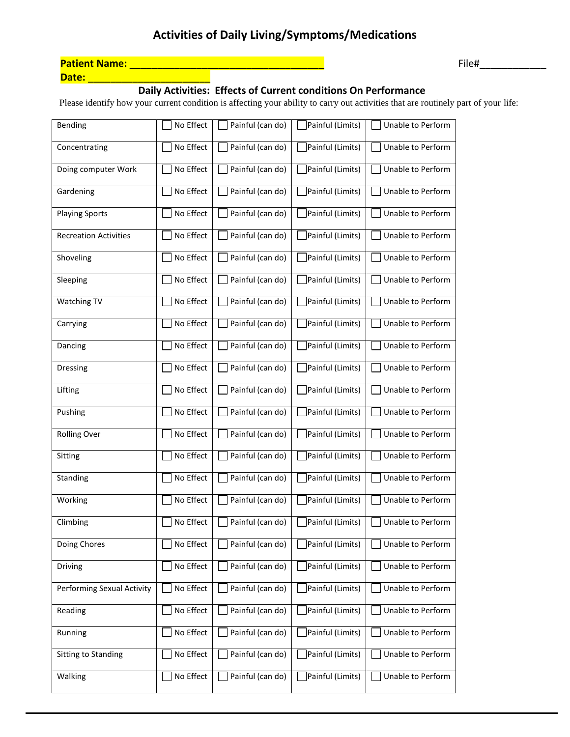| <b>Patient Name:</b> |  |
|----------------------|--|
| Date:                |  |

### **Daily Activities: Effects of Current conditions On Performance**

Please identify how your current condition is affecting your ability to carry out activities that are routinely part of your life:

| <b>Bending</b>                    | No Effect | Painful (can do) | Painful (Limits) | <b>Unable to Perform</b> |
|-----------------------------------|-----------|------------------|------------------|--------------------------|
| Concentrating                     | No Effect | Painful (can do) | Painful (Limits) | Unable to Perform        |
| Doing computer Work               | No Effect | Painful (can do) | Painful (Limits) | Unable to Perform        |
| Gardening                         | No Effect | Painful (can do) | Painful (Limits) | Unable to Perform        |
| <b>Playing Sports</b>             | No Effect | Painful (can do) | Painful (Limits) | Unable to Perform        |
| <b>Recreation Activities</b>      | No Effect | Painful (can do) | Painful (Limits) | Unable to Perform        |
| Shoveling                         | No Effect | Painful (can do) | Painful (Limits) | Unable to Perform        |
| Sleeping                          | No Effect | Painful (can do) | Painful (Limits) | Unable to Perform        |
| Watching TV                       | No Effect | Painful (can do) | Painful (Limits) | Unable to Perform        |
| Carrying                          | No Effect | Painful (can do) | Painful (Limits) | Unable to Perform        |
| Dancing                           | No Effect | Painful (can do) | Painful (Limits) | Unable to Perform        |
| <b>Dressing</b>                   | No Effect | Painful (can do) | Painful (Limits) | Unable to Perform        |
| Lifting                           | No Effect | Painful (can do) | Painful (Limits) | Unable to Perform        |
| Pushing                           | No Effect | Painful (can do) | Painful (Limits) | Unable to Perform        |
| <b>Rolling Over</b>               | No Effect | Painful (can do) | Painful (Limits) | Unable to Perform        |
| Sitting                           | No Effect | Painful (can do) | Painful (Limits) | Unable to Perform        |
| Standing                          | No Effect | Painful (can do) | Painful (Limits) | Unable to Perform        |
| Working                           | No Effect | Painful (can do) | Painful (Limits) | Unable to Perform        |
| Climbing                          | No Effect | Painful (can do) | Painful (Limits) | Unable to Perform        |
| Doing Chores                      | No Effect | Painful (can do) | Painful (Limits) | Unable to Perform        |
| <b>Driving</b>                    | No Effect | Painful (can do) | Painful (Limits) | Unable to Perform        |
| <b>Performing Sexual Activity</b> | No Effect | Painful (can do) | Painful (Limits) | Unable to Perform        |
| Reading                           | No Effect | Painful (can do) | Painful (Limits) | Unable to Perform        |
| Running                           | No Effect | Painful (can do) | Painful (Limits) | Unable to Perform        |
| <b>Sitting to Standing</b>        | No Effect | Painful (can do) | Painful (Limits) | Unable to Perform        |
| Walking                           | No Effect | Painful (can do) | Painful (Limits) | Unable to Perform        |

**Patient Name:** \_\_\_\_\_\_\_\_\_\_\_\_\_\_\_\_\_\_\_\_\_\_\_\_\_\_\_\_\_\_\_\_\_\_\_ File#\_\_\_\_\_\_\_\_\_\_\_\_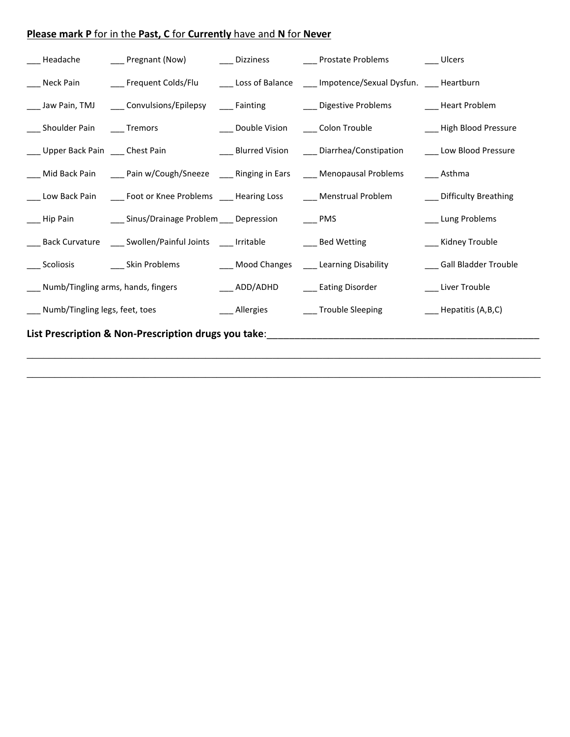### **Please mark P** for in the **Past, C** for **Currently** have and **N** for **Never**

| ___ Headache                           | ___ Pregnant (Now)                                                                                    |                                     | ___ Dizziness ________ Prostate Problems _______ Ulcers                                                         |                             |
|----------------------------------------|-------------------------------------------------------------------------------------------------------|-------------------------------------|-----------------------------------------------------------------------------------------------------------------|-----------------------------|
|                                        |                                                                                                       |                                     | ___ Neck Pain ________ Frequent Colds/Flu _______ Loss of Balance _____ Impotence/Sexual Dysfun. ____ Heartburn |                             |
|                                        |                                                                                                       |                                     | ___ Jaw Pain, TMJ   ___ Convulsions/Epilepsy   ___ Fainting     ____ Digestive Problems     ____ Heart Problem  |                             |
| ___ Shoulder Pain ____ Tremors         |                                                                                                       | Double Vision _______ Colon Trouble |                                                                                                                 | ___ High Blood Pressure     |
| ___ Upper Back Pain ___ Chest Pain     |                                                                                                       |                                     | ____ Blurred Vision ____ Diarrhea/Constipation                                                                  | ___ Low Blood Pressure      |
|                                        | ___ Mid Back Pain _____ Pain w/Cough/Sneeze ____ Ringing in Ears ____ Menopausal Problems             |                                     |                                                                                                                 | ____ Asthma                 |
|                                        | ___ Low Back Pain   ____ Foot or Knee Problems ____ Hearing Loss   ____ Menstrual Problem             |                                     |                                                                                                                 | ___ Difficulty Breathing    |
|                                        | ___Hip Pain ______________Sinus/Drainage Problem _____ Depression _________ PMS                       |                                     |                                                                                                                 | ___ Lung Problems           |
|                                        | ___ Back Curvature ____ Swollen/Painful Joints ____ Irritable _________________ Bed Wetting           |                                     |                                                                                                                 | ___ Kidney Trouble          |
|                                        | ___ Scoliosis __________ Skin Problems _______________________Mood Changes ______ Learning Disability |                                     |                                                                                                                 | ___ Gall Bladder Trouble    |
| ___ Numb/Tingling arms, hands, fingers |                                                                                                       |                                     | ___ ADD/ADHD ____ Eating Disorder                                                                               | ___ Liver Trouble           |
| ___ Numb/Tingling legs, feet, toes     |                                                                                                       |                                     | ___ Allergies ____ Trouble Sleeping                                                                             | $\_\_\_\$ Hepatitis (A,B,C) |
|                                        |                                                                                                       |                                     |                                                                                                                 |                             |

\_\_\_\_\_\_\_\_\_\_\_\_\_\_\_\_\_\_\_\_\_\_\_\_\_\_\_\_\_\_\_\_\_\_\_\_\_\_\_\_\_\_\_\_\_\_\_\_\_\_\_\_\_\_\_\_\_\_\_\_\_\_\_\_\_\_\_\_\_\_\_\_\_\_\_\_\_\_\_\_\_\_\_\_\_\_\_\_\_\_\_\_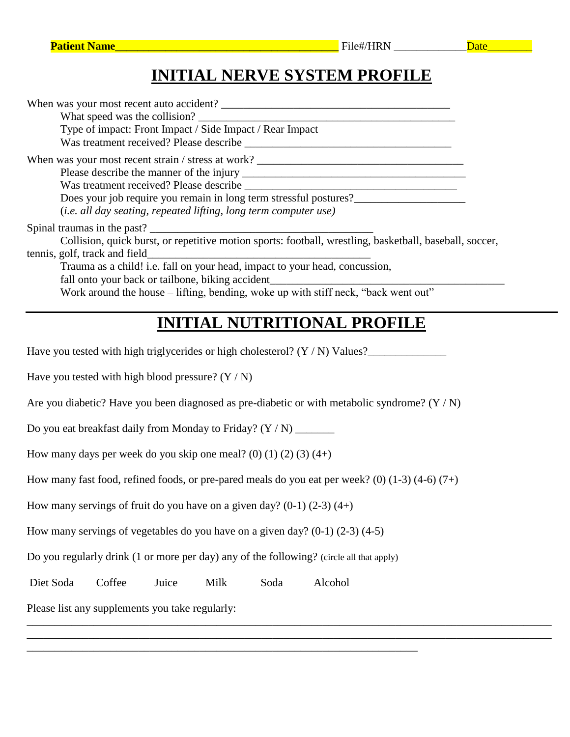### **INITIAL NERVE SYSTEM PROFILE**

| When was your most recent auto accident?<br>What speed was the collision?<br>Type of impact: Front Impact / Side Impact / Rear Impact                                                                                                                                       |
|-----------------------------------------------------------------------------------------------------------------------------------------------------------------------------------------------------------------------------------------------------------------------------|
| Does your job require you remain in long term stressful postures?<br>(i.e. all day seating, repeated lifting, long term computer use)                                                                                                                                       |
| Collision, quick burst, or repetitive motion sports: football, wrestling, basketball, baseball, soccer,<br>tennis, golf, track and field<br>Trauma as a child! i.e. fall on your head, impact to your head, concussion,<br>fall onto your back or tailbone, biking accident |
| Work around the house – lifting, bending, woke up with stiff neck, "back went out"                                                                                                                                                                                          |
| <b>INITIAL NUTRITIONAL PROFILE</b>                                                                                                                                                                                                                                          |
| Have you tested with high triglycerides or high cholesterol? $(Y / N)$ Values?                                                                                                                                                                                              |

Have you tested with high blood pressure?  $(Y / N)$ 

Are you diabetic? Have you been diagnosed as pre-diabetic or with metabolic syndrome? (Y / N)

Do you eat breakfast daily from Monday to Friday? (Y / N) \_\_\_\_\_\_\_

How many days per week do you skip one meal? (0) (1) (2) (3)  $(4+)$ 

How many fast food, refined foods, or pre-pared meals do you eat per week? (0)  $(1-3)$   $(4-6)$   $(7+)$ 

\_\_\_\_\_\_\_\_\_\_\_\_\_\_\_\_\_\_\_\_\_\_\_\_\_\_\_\_\_\_\_\_\_\_\_\_\_\_\_\_\_\_\_\_\_\_\_\_\_\_\_\_\_\_\_\_\_\_\_\_\_\_\_\_\_\_\_\_\_\_\_\_\_\_\_\_\_\_\_\_\_\_\_\_\_\_\_\_\_\_\_\_\_\_ \_\_\_\_\_\_\_\_\_\_\_\_\_\_\_\_\_\_\_\_\_\_\_\_\_\_\_\_\_\_\_\_\_\_\_\_\_\_\_\_\_\_\_\_\_\_\_\_\_\_\_\_\_\_\_\_\_\_\_\_\_\_\_\_\_\_\_\_\_\_\_\_\_\_\_\_\_\_\_\_\_\_\_\_\_\_\_\_\_\_\_\_\_\_

How many servings of fruit do you have on a given day?  $(0-1)$   $(2-3)$   $(4+)$ 

How many servings of vegetables do you have on a given day? (0-1) (2-3) (4-5)

Do you regularly drink (1 or more per day) any of the following? (circle all that apply)

\_\_\_\_\_\_\_\_\_\_\_\_\_\_\_\_\_\_\_\_\_\_\_\_\_\_\_\_\_\_\_\_\_\_\_\_\_\_\_\_\_\_\_\_\_\_\_\_\_\_\_\_\_\_\_\_\_\_\_\_\_\_\_\_\_\_\_\_\_\_

Diet Soda Coffee Juice Milk Soda Alcohol

Please list any supplements you take regularly: